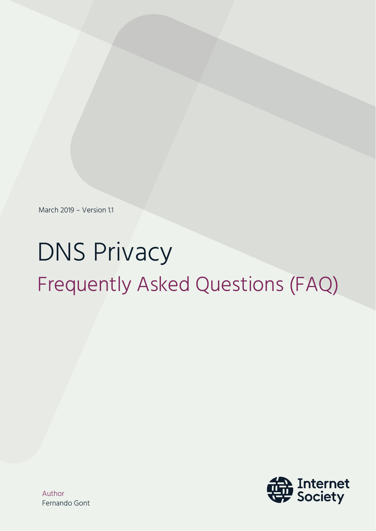March 2019 – Version 1.1

# DNS Privacy Frequently Asked Questions (FAQ)



Author Fernando Gont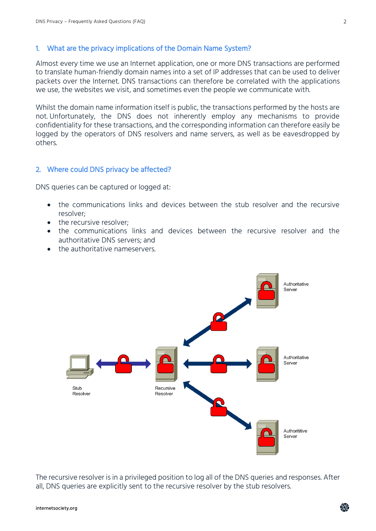#### 1. What are the privacy implications of the Domain Name System?

Almost every time we use an Internet application, one or more DNS transactions are performed to translate human-friendly domain names into a set of IP addresses that can be used to deliver packets over the Internet. DNS transactions can therefore be correlated with the applications we use, the websites we visit, and sometimes even the people we communicate with.

Whilst the domain name information itself is public, the transactions performed by the hosts are not. Unfortunately, the DNS does not inherently employ any mechanisms to provide confidentiality for these transactions, and the corresponding information can therefore easily be logged by the operators of DNS resolvers and name servers, as well as be eavesdropped by others.

#### 2. Where could DNS privacy be affected?

DNS queries can be captured or logged at:

- the communications links and devices between the stub resolver and the recursive resolver;
- the recursive resolver:
- the communications links and devices between the recursive resolver and the authoritative DNS servers; and
- the authoritative nameservers.



The recursive resolver is in a privileged position to log all of the DNS queries and responses. After all, DNS queries are explicitly sent to the recursive resolver by the stub resolvers.

靈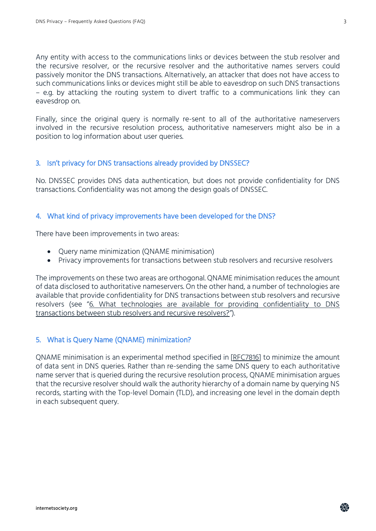Any entity with access to the communications links or devices between the stub resolver and the recursive resolver, or the recursive resolver and the authoritative names servers could passively monitor the DNS transactions. Alternatively, an attacker that does not have access to such communications links or devices might still be able to eavesdrop on such DNS transactions – e.g. by attacking the routing system to divert traffic to a communications link they can eavesdrop on.

Finally, since the original query is normally re-sent to all of the authoritative nameservers involved in the recursive resolution process, authoritative nameservers might also be in a position to log information about user queries.

#### 3. Isn't privacy for DNS transactions already provided by DNSSEC?

No. DNSSEC provides DNS data authentication, but does not provide confidentiality for DNS transactions. Confidentiality was not among the design goals of DNSSEC.

#### 4. What kind of privacy improvements have been developed for the DNS?

There have been improvements in two areas:

- Query name minimization (QNAME minimisation)
- Privacy improvements for transactions between stub resolvers and recursive resolvers

The improvements on these two areas are orthogonal. QNAME minimisation reduces the amount of data disclosed to authoritative nameservers. On the other hand, a number of technologies are available that provide confidentiality for DNS transactions between stub resolvers and recursive resolvers (see "6. What technologies are available for providing confidentiality to DNS [transactions between stub resolvers and recursive resolvers?](#page-4-0)").

#### <span id="page-2-0"></span>5. What is Query Name (QNAME) minimization?

QNAME minimisation is an experimental method specified in [\[RFC7816\]](https://www.rfc-editor.org/info/rfc7816) to minimize the amount of data sent in DNS queries. Rather than re-sending the same DNS query to each authoritative name server that is queried during the recursive resolution process, QNAME minimisation argues that the recursive resolver should walk the authority hierarchy of a domain name by querying NS records, starting with the Top-level Domain (TLD), and increasing one level in the domain depth in each subsequent query.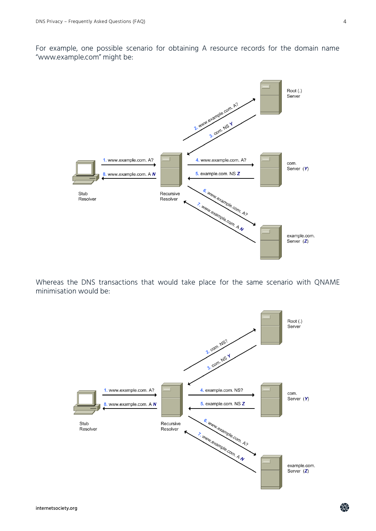For example, one possible scenario for obtaining A resource records for the domain name "www.example.com" might be:



Whereas the DNS transactions that would take place for the same scenario with QNAME minimisation would be:



龜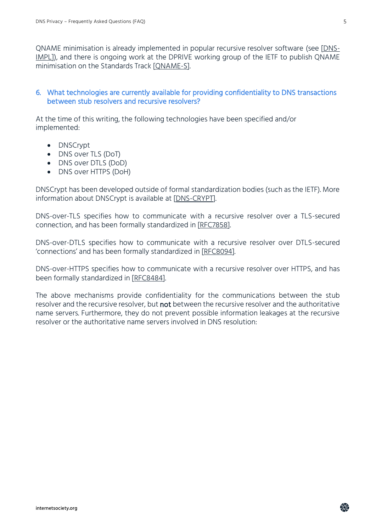QNAME minimisation is already implemented in popular recursive resolver software (see [\[DNS-](https://dnsprivacy.org/wiki/display/DP/DNS+Privacy+Implementation+Status)[IMPL\]](https://dnsprivacy.org/wiki/display/DP/DNS+Privacy+Implementation+Status)), and there is ongoing work at the DPRIVE working group of the IETF to publish QNAME minimisation on the Standards Track [\[QNAME-S\]](https://tools.ietf.org/html/draft-ietf-dnsop-rfc7816bis).

#### <span id="page-4-0"></span>6. What technologies are currently available for providing confidentiality to DNS transactions between stub resolvers and recursive resolvers?

At the time of this writing, the following technologies have been specified and/or implemented:

- DNSCrypt
- DNS over TLS (DoT)
- DNS over DTLS (DoD)
- DNS over HTTPS (DoH)

DNSCrypt has been developed outside of formal standardization bodies (such as the IETF). More information about DNSCrypt is available at [\[DNS-CRYPT\]](https://dnscrypt.info/).

DNS-over-TLS specifies how to communicate with a recursive resolver over a TLS-secured connection, and has been formally standardized in [\[RFC7858\]](https://www.rfc-editor.org/info/rfc7858).

DNS-over-DTLS specifies how to communicate with a recursive resolver over DTLS-secured 'connections' and has been formally standardized in [\[RFC8094\]](https://www.rfc-editor.org/info/rfc8094).

DNS-over-HTTPS specifies how to communicate with a recursive resolver over HTTPS, and has been formally standardized in [\[RFC8484\]](https://www.rfc-editor.org/info/rfc8484).

The above mechanisms provide confidentiality for the communications between the stub resolver and the recursive resolver, but not between the recursive resolver and the authoritative name servers. Furthermore, they do not prevent possible information leakages at the recursive resolver or the authoritative name servers involved in DNS resolution:

龠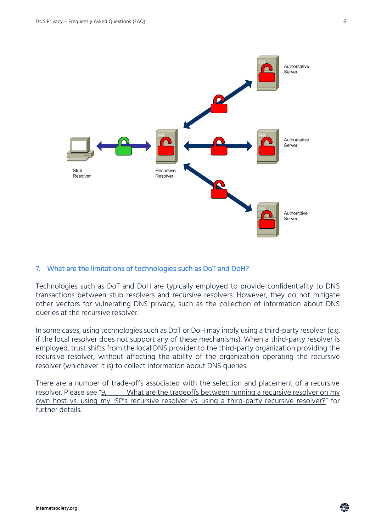

#### 7. What are the limitations of technologies such as DoT and DoH?

Technologies such as DoT and DoH are typically employed to provide confidentiality to DNS transactions between stub resolvers and recursive resolvers. However, they do not mitigate other vectors for vulnerating DNS privacy, such as the collection of information about DNS queries at the recursive resolver.

In some cases, using technologies such as DoT or DoH may imply using a third-party resolver (e.g. if the local resolver does not support any of these mechanisms). When a third-party resolver is employed, trust shifts from the local DNS provider to the third-party organization providing the recursive resolver, without affecting the ability of the organization operating the recursive resolver (whichever it is) to collect information about DNS queries.

There are a number of trade-offs associated with the selection and placement of a recursive resolver. Please see "9. What are the tradeoffs between running a recursive resolver on my What are the tradeoffs between running a recursive resolver on my own host vs. using my ISP'[s recursive resolver vs. using a third-party recursive resolver?](#page-6-0)" for further details.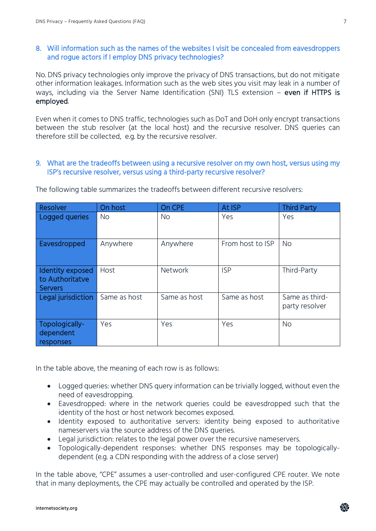#### 8. Will information such as the names of the websites I visit be concealed from eavesdroppers and rogue actors if I employ DNS privacy technologies?

No. DNS privacy technologies only improve the privacy of DNS transactions, but do not mitigate other information leakages. Information such as the web sites you visit may leak in a number of ways, including via the Server Name Identification (SNI) TLS extension - even if HTTPS is employed.

Even when it comes to DNS traffic, technologies such as DoT and DoH only encrypt transactions between the stub resolver (at the local host) and the recursive resolver. DNS queries can therefore still be collected, e.g. by the recursive resolver.

#### <span id="page-6-0"></span>9. What are the tradeoffs between using a recursive resolver on my own host, versus using my ISP's recursive resolver, versus using a third-party recursive resolver?

| <b>Resolver</b>                                       | On host      | On CPE       | At ISP           | <b>Third Party</b>               |
|-------------------------------------------------------|--------------|--------------|------------------|----------------------------------|
| Logged queries                                        | <b>No</b>    | <b>No</b>    | Yes              | Yes                              |
| Eavesdropped                                          | Anywhere     | Anywhere     | From host to ISP | <b>No</b>                        |
| Identity exposed<br>to Authoritatve<br><b>Servers</b> | Host         | Network      | <b>ISP</b>       | Third-Party                      |
| Legal jurisdiction                                    | Same as host | Same as host | Same as host     | Same as third-<br>party resolver |
| Topologically-<br>dependent<br>responses              | Yes          | Yes          | Yes              | <b>No</b>                        |

The following table summarizes the tradeoffs between different recursive resolvers:

In the table above, the meaning of each row is as follows:

- Logged queries: whether DNS query information can be trivially logged, without even the need of eavesdropping.
- Eavesdropped: where in the network queries could be eavesdropped such that the identity of the host or host network becomes exposed.
- Identity exposed to authoritative servers: identity being exposed to authoritative nameservers via the source address of the DNS queries.
- Legal jurisdiction: relates to the legal power over the recursive nameservers.
- Topologically-dependent responses: whether DNS responses may be topologicallydependent (e.g. a CDN responding with the address of a close server)

In the table above, "CPE" assumes a user-controlled and user-configured CPE router. We note that in many deployments, the CPE may actually be controlled and operated by the ISP.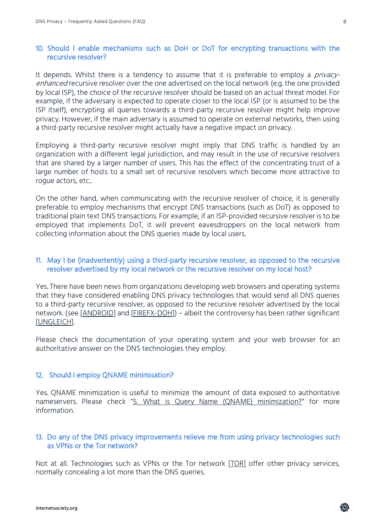#### 10. Should I enable mechanisms such as DoH or DoT for encrypting transactions with the recursive resolver?

It depends. Whilst there is a tendency to assume that it is preferable to employ a *privacy*enhanced recursive resolver over the one advertised on the local network (e.g. the one provided by local ISP), the choice of the recursive resolver should be based on an actual threat model. For example, if the adversary is expected to operate closer to the local ISP (or is assumed to be the ISP itself), encrypting all queries towards a third-party recursive resolver might help improve privacy. However, if the main adversary is assumed to operate on external networks, then using a third-party recursive resolver might actually have a negative impact on privacy.

Employing a third-party recursive resolver might imply that DNS traffic is handled by an organization with a different legal jurisdiction, and may result in the use of recursive resolvers that are shared by a larger number of users. This has the effect of the concentrating trust of a large number of hosts to a small set of recursive resolvers which become more attractive to roque actors, etc..

On the other hand, when communicating with the recursive resolver of choice, it is generally preferable to employ mechanisms that encrypt DNS transactions (such as DoT) as opposed to traditional plain text DNS transactions. For example, if an ISP-provided recursive resolver is to be employed that implements DoT, it will prevent eavesdroppers on the local network from collecting information about the DNS queries made by local users.

#### 11. May I be (inadvertently) using a third-party recursive resolver, as opposed to the recursive resolver advertised by my local network or the recursive resolver on my local host?

Yes. There have been news from organizations developing web browsers and operating systems that they have considered enabling DNS privacy technologies that would send all DNS queries to a third-party recursive resolver, as opposed to the recursive resolver advertised by the local network. (see [\[ANDROID\]](https://security.googleblog.com/2018/04/dns-over-tls-support-in-android-p.html) and [\[FIREFX-DOH\]](https://blog.nightly.mozilla.org/2018/06/01/improving-dns-privacy-in-firefox/)) – albeit the controversy has been rather significant [\[UNGLEICH\]](https://blog.ungleich.ch/en-us/cms/blog/2018/08/04/mozillas-new-dns-resolution-is-dangerous/).

Please check the documentation of your operating system and your web browser for an authoritative answer on the DNS technologies they employ.

#### 12. Should I employ QNAME minimisation?

Yes. QNAME minimization is useful to minimize the amount of data exposed to authoritative nameservers. Please check "[5. What is Query Name \(QNAME\) minimization?"](#page-2-0) for more information.

#### 13. Do any of the DNS privacy improvements relieve me from using privacy technologies such as VPNs or the Tor network?

Not at all. Technologies such as VPNs or the Tor network [\[TOR\]](https://www.torproject.org/) offer other privacy services, normally concealing a lot more than the DNS queries.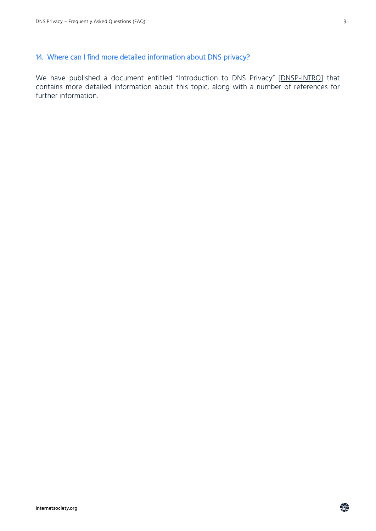### 14. Where can I find more detailed information about DNS privacy?

We have published a document entitled "Introduction to DNS Privacy" [\[DNSP-INTRO\]](https://www.internetsociety.org/resources/deploy360/dns-privacy/intro/) that contains more detailed information about this topic, along with a number of references for further information.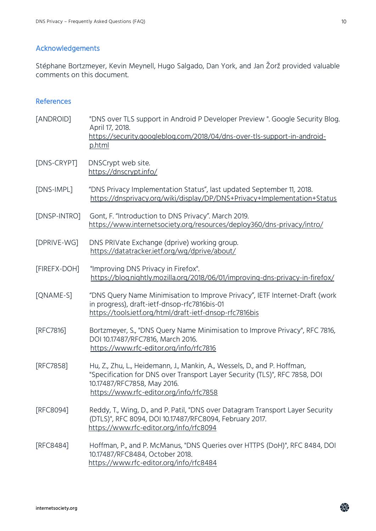## Acknowledgements

Stéphane Bortzmeyer, Kevin Meynell, Hugo Salgado, Dan York, and Jan Žorž provided valuable comments on this document.

#### References

| [ANDROID]    | "DNS over TLS support in Android P Developer Preview". Google Security Blog.<br>April 17, 2018.<br>https://security.googleblog.com/2018/04/dns-over-tls-support-in-android-<br>p.html                                            |
|--------------|----------------------------------------------------------------------------------------------------------------------------------------------------------------------------------------------------------------------------------|
| [DNS-CRYPT]  | DNSCrypt web site.<br>https://dnscrypt.info/                                                                                                                                                                                     |
| [DNS-IMPL]   | "DNS Privacy Implementation Status", last updated September 11, 2018.<br>https://dnsprivacy.org/wiki/display/DP/DNS+Privacy+Implementation+Status                                                                                |
| [DNSP-INTRO] | Gont, F. "Introduction to DNS Privacy". March 2019.<br>https://www.internetsociety.org/resources/deploy360/dns-privacy/intro/                                                                                                    |
| [DPRIVE-WG]  | DNS PRIVate Exchange (dprive) working group.<br>https://datatracker.ietf.org/wg/dprive/about/                                                                                                                                    |
| [FIREFX-DOH] | "Improving DNS Privacy in Firefox".<br>https://blog.nightly.mozilla.org/2018/06/01/improving-dns-privacy-in-firefox/                                                                                                             |
| [QNAME-S]    | "DNS Query Name Minimisation to Improve Privacy", IETF Internet-Draft (work<br>in progress), draft-ietf-dnsop-rfc7816bis-01<br>https://tools.ietf.org/html/draft-ietf-dnsop-rfc7816bis                                           |
| [RFC7816]    | Bortzmeyer, S., "DNS Query Name Minimisation to Improve Privacy", RFC 7816,<br>DOI 10.17487/RFC7816, March 2016.<br>https://www.rfc-editor.org/info/rfc7816                                                                      |
| [RFC7858]    | Hu, Z., Zhu, L., Heidemann, J., Mankin, A., Wessels, D., and P. Hoffman,<br>"Specification for DNS over Transport Layer Security (TLS)", RFC 7858, DOI<br>10.17487/RFC7858, May 2016.<br>https://www.rfc-editor.org/info/rfc7858 |
| [RFC8094]    | Reddy, T., Wing, D., and P. Patil, "DNS over Datagram Transport Layer Security<br>(DTLS)", RFC 8094, DOI 10.17487/RFC8094, February 2017.<br>https://www.rfc-editor.org/info/rfc8094                                             |
| [RFC8484]    | Hoffman, P., and P. McManus, "DNS Queries over HTTPS (DoH)", RFC 8484, DOI<br>10.17487/RFC8484, October 2018.<br>https://www.rfc-editor.org/info/rfc8484                                                                         |

奙